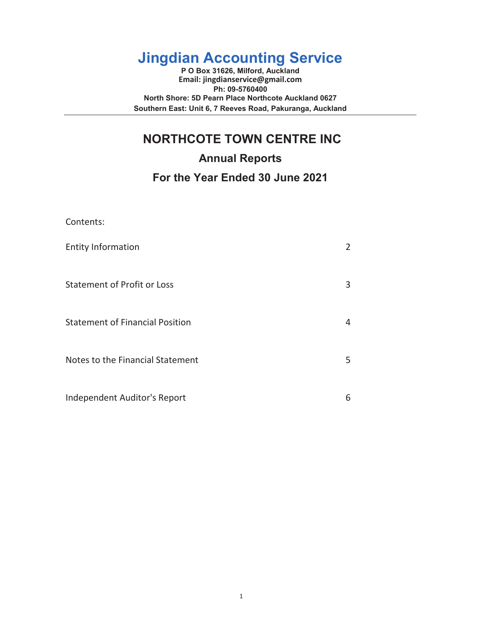# **Jingdian Accounting Service**

**P O Box 31626, Milford, Auckland Email: jingdianservice@gmail.com Ph: 09-5760400 North Shore: 5D Pearn Place Northcote Auckland 0627 Southern East: Unit 6, 7 Reeves Road, Pakuranga, Auckland**

# **NORTHCOTE TOWN CENTRE INC**

**Annual Reports**

# **For the Year Ended 30 June 2021**

| Contents:                              |   |
|----------------------------------------|---|
| <b>Entity Information</b>              | 2 |
| <b>Statement of Profit or Loss</b>     | 3 |
| <b>Statement of Financial Position</b> | 4 |
| Notes to the Financial Statement       | 5 |
| Independent Auditor's Report           | 6 |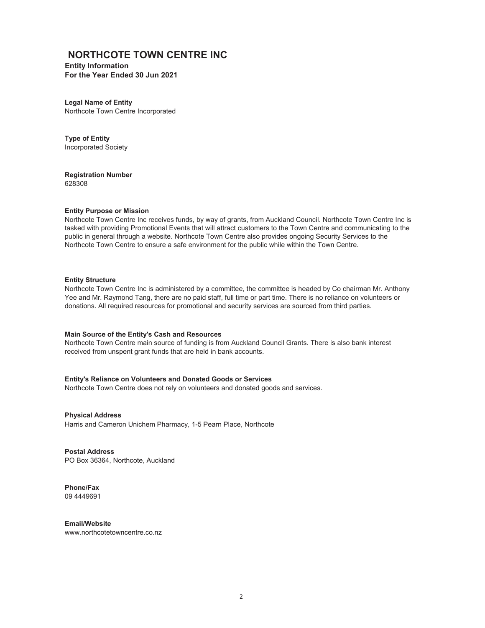# **NORTHCOTE TOWN CENTRE INC**

**Entity Information For the Year Ended 30 Jun 2021**

**Legal Name of Entity** Northcote Town Centre Incorporated

**Type of Entity** Incorporated Society

**Registration Number** 628308

#### **Entity Purpose or Mission**

Northcote Town Centre Inc receives funds, by way of grants, from Auckland Council. Northcote Town Centre Inc is tasked with providing Promotional Events that will attract customers to the Town Centre and communicating to the public in general through a website. Northcote Town Centre also provides ongoing Security Services to the Northcote Town Centre to ensure a safe environment for the public while within the Town Centre.

#### **Entity Structure**

Northcote Town Centre Inc is administered by a committee, the committee is headed by Co chairman Mr. Anthony Yee and Mr. Raymond Tang, there are no paid staff, full time or part time. There is no reliance on volunteers or donations. All required resources for promotional and security services are sourced from third parties.

#### **Main Source of the Entity's Cash and Resources**

Northcote Town Centre main source of funding is from Auckland Council Grants. There is also bank interest received from unspent grant funds that are held in bank accounts.

#### **Entity's Reliance on Volunteers and Donated Goods or Services**

Northcote Town Centre does not rely on volunteers and donated goods and services.

**Physical Address** Harris and Cameron Unichem Pharmacy, 1-5 Pearn Place, Northcote

**Postal Address** PO Box 36364, Northcote, Auckland

**Phone/Fax** 09 4449691

**Email/Website** www.northcotetowncentre.co.nz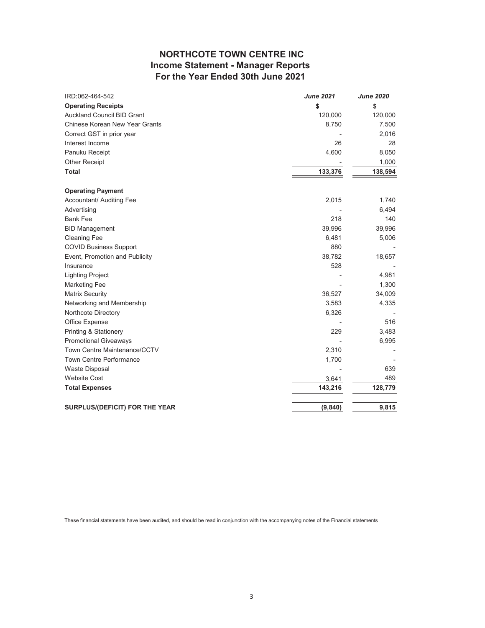# **NORTHCOTE TOWN CENTRE INC Income Statement - Manager Reports For the Year Ended 30th June 2021**

| IRD:062-464-542                   | <b>June 2021</b> | <b>June 2020</b> |
|-----------------------------------|------------------|------------------|
| <b>Operating Receipts</b>         | \$               | \$               |
| <b>Auckland Council BID Grant</b> | 120,000          | 120,000          |
| Chinese Korean New Year Grants    | 8,750            | 7,500            |
| Correct GST in prior year         |                  | 2,016            |
| Interest Income                   | 26               | 28               |
| Panuku Receipt                    | 4,600            | 8,050            |
| <b>Other Receipt</b>              |                  | 1,000            |
| <b>Total</b>                      | 133,376          | 138,594          |
| <b>Operating Payment</b>          |                  |                  |
| Accountant/ Auditing Fee          | 2,015            | 1,740            |
| Advertising                       |                  | 6,494            |
| <b>Bank Fee</b>                   | 218              | 140              |
| <b>BID Management</b>             | 39,996           | 39,996           |
| <b>Cleaning Fee</b>               | 6,481            | 5,006            |
| <b>COVID Business Support</b>     | 880              |                  |
| Event, Promotion and Publicity    | 38,782           | 18,657           |
| Insurance                         | 528              |                  |
| <b>Lighting Project</b>           |                  | 4,981            |
| <b>Marketing Fee</b>              |                  | 1,300            |
| <b>Matrix Security</b>            | 36,527           | 34,009           |
| Networking and Membership         | 3,583            | 4,335            |
| Northcote Directory               | 6,326            |                  |
| Office Expense                    |                  | 516              |
| Printing & Stationery             | 229              | 3,483            |
| <b>Promotional Giveaways</b>      |                  | 6,995            |
| Town Centre Maintenance/CCTV      | 2,310            |                  |
| <b>Town Centre Performance</b>    | 1,700            |                  |
| <b>Waste Disposal</b>             |                  | 639              |
| <b>Website Cost</b>               | 3,641            | 489              |
| <b>Total Expenses</b>             | 143,216          | 128,779          |
| SURPLUS/(DEFICIT) FOR THE YEAR    | (9, 840)         | 9,815            |

These financial statements have been audited, and should be read in conjunction with the accompanying notes of the Financial statements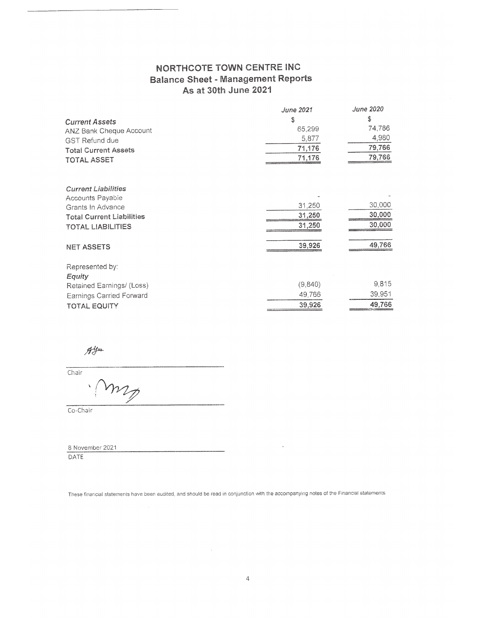# NORTHCOTE TOWN CENTRE INC **Balance Sheet - Management Reports** As at 30th June 2021

|                                  | June 2021 | <b>June 2020</b> |
|----------------------------------|-----------|------------------|
| <b>Current Assets</b>            | s         | S                |
| <b>ANZ Bank Cheque Account</b>   | 65,299    | 74,786           |
| <b>GST Refund due</b>            | 5,877     | 4,980            |
| <b>Total Current Assets</b>      | 71,176    | 79,766           |
| <b>TOTAL ASSET</b>               | 71,176    | 79,766           |
| <b>Current Liabilities</b>       |           |                  |
| Accounts Payable                 |           |                  |
| Grants In Advance                | 31,250    | 30,000           |
| <b>Total Current Liabilities</b> | 31,250    | 30,000           |
| <b>TOTAL LIABILITIES</b>         | 31,250    | 30,000           |
| <b>NET ASSETS</b>                | 39,926    | 49,766           |
| Represented by:                  |           |                  |
| Equity                           |           |                  |
| Retained Earnings/ (Loss)        | (9,840)   | 9,815            |
| Earnings Carried Forward         | 49.766    | 39,951           |
| <b>TOTAL EQUITY</b>              | 39,926    | 49,766           |

 $\mathcal{A}^{\mathcal{Y}^{\text{max}}}_{\mathcal{Y}^{\text{max}}}$ 

 $T$  $\nu_L$ 

Co-Chair

8 November 2021 **DATE** 

These financial statements have been audited, and should be read in conjunction with the accompanying notes of the Financial statements

 $\sim$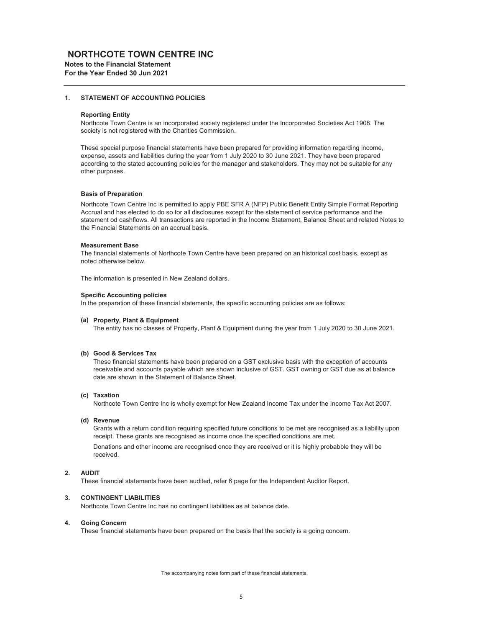### **NORTHCOTE TOWN CENTRE INC**

**Notes to the Financial Statement For the Year Ended 30 Jun 2021**

#### **1. STATEMENT OF ACCOUNTING POLICIES**

#### **Reporting Entity**

Northcote Town Centre is an incorporated society registered under the Incorporated Societies Act 1908. The society is not registered with the Charities Commission.

These special purpose financial statements have been prepared for providing information regarding income, expense, assets and liabilities during the year from 1 July 2020 to 30 June 2021. They have been prepared according to the stated accounting policies for the manager and stakeholders. They may not be suitable for any other purposes.

#### **Basis of Preparation**

Northcote Town Centre Inc is permitted to apply PBE SFR A (NFP) Public Benefit Entity Simple Format Reporting Accrual and has elected to do so for all disclosures except for the statement of service performance and the statement od cashflows. All transactions are reported in the Income Statement, Balance Sheet and related Notes to the Financial Statements on an accrual basis.

#### **Measurement Base**

The financial statements of Northcote Town Centre have been prepared on an historical cost basis, except as noted otherwise below.

The information is presented in New Zealand dollars.

#### **Specific Accounting policies**

In the preparation of these financial statements, the specific accounting policies are as follows:

#### **(a) Property, Plant & Equipment**

The entity has no classes of Property, Plant & Equipment during the year from 1 July 2020 to 30 June 2021.

#### **(b) Good & Services Tax**

These financial statements have been prepared on a GST exclusive basis with the exception of accounts receivable and accounts payable which are shown inclusive of GST. GST owning or GST due as at balance date are shown in the Statement of Balance Sheet.

#### **(c) Taxation**

Northcote Town Centre Inc is wholly exempt for New Zealand Income Tax under the Income Tax Act 2007.

#### **(d) Revenue**

Grants with a return condition requiring specified future conditions to be met are recognised as a liability upon receipt. These grants are recognised as income once the specified conditions are met.

Donations and other income are recognised once they are received or it is highly probabble they will be received.

#### **2. AUDIT**

These financial statements have been audited, refer 6 page for the Independent Auditor Report.

#### **3. CONTINGENT LIABILITIES**

Northcote Town Centre Inc has no contingent liabilities as at balance date.

#### **4. Going Concern**

These financial statements have been prepared on the basis that the society is a going concern.

The accompanying notes form part of these financial statements.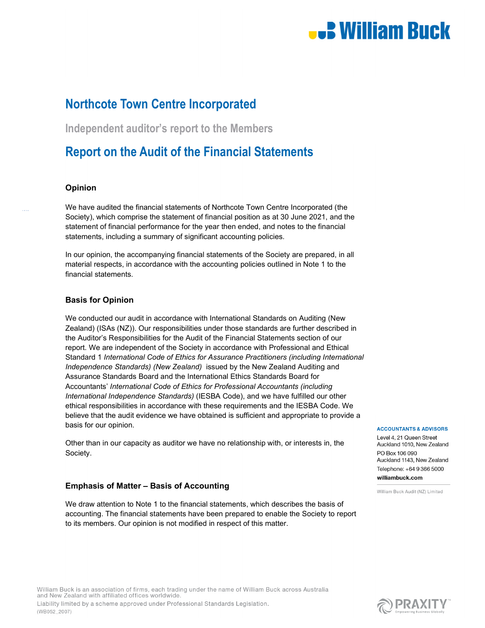# **U.B. William Buck**

# **Northcote Town Centre Incorporated**

**Independent auditor's report to the Members** 

# **Report on the Audit of the Financial Statements**

## **Opinion**

We have audited the financial statements of Northcote Town Centre Incorporated (the Society), which comprise the statement of financial position as at 30 June 2021, and the statement of financial performance for the year then ended, and notes to the financial statements, including a summary of significant accounting policies.

In our opinion, the accompanying financial statements of the Society are prepared, in all material respects, in accordance with the accounting policies outlined in Note 1 to the financial statements.

### **Basis for Opinion**

We conducted our audit in accordance with International Standards on Auditing (New Zealand) (ISAs (NZ)). Our responsibilities under those standards are further described in the Auditor's Responsibilities for the Audit of the Financial Statements section of our report. We are independent of the Society in accordance with Professional and Ethical Standard 1 *International Code of Ethics for Assurance Practitioners (including International Independence Standards) (New Zealand)* issued by the New Zealand Auditing and Assurance Standards Board and the International Ethics Standards Board for Accountants' *International Code of Ethics for Professional Accountants (including International Independence Standards)* (IESBA Code), and we have fulfilled our other ethical responsibilities in accordance with these requirements and the IESBA Code. We believe that the audit evidence we have obtained is sufficient and appropriate to provide a basis for our opinion.

Other than in our capacity as auditor we have no relationship with, or interests in, the Society.

## **Emphasis of Matter – Basis of Accounting**

We draw attention to Note 1 to the financial statements, which describes the basis of accounting. The financial statements have been prepared to enable the Society to report to its members. Our opinion is not modified in respect of this matter.

#### **ACCOUNTANTS & ADVISORS**

Level 4, 21 Queen Street Auckland 1010, New Zealand PO Box 106 090 Auckland 1143, New Zealand Telephone: +64 9 366 5000 williambuck.com

William Buck Audit (NZ) Limited